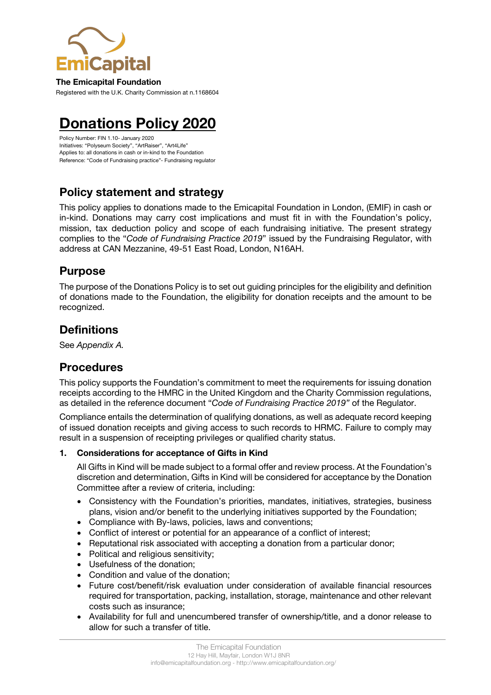

#### **The Emicapital Foundation**

Registered with the U.K. Charity Commission at n.1168604

# **Donations Policy 2020**

Policy Number: FIN 1.10- January 2020 Initiatives: "Polyseum Society", "ArtRaiser", "Art4Life" Applies to: all donations in cash or in-kind to the Foundation Reference: "Code of Fundraising practice"- Fundraising regulator

### **Policy statement and strategy**

This policy applies to donations made to the Emicapital Foundation in London, (EMIF) in cash or in-kind. Donations may carry cost implications and must fit in with the Foundation's policy, mission, tax deduction policy and scope of each fundraising initiative. The present strategy complies to the "*Code of Fundraising Practice 2019*" issued by the Fundraising Regulator, with address at CAN Mezzanine, 49-51 East Road, London, N16AH.

### **Purpose**

The purpose of the Donations Policy is to set out guiding principles for the eligibility and definition of donations made to the Foundation, the eligibility for donation receipts and the amount to be recognized.

### **Definitions**

See *Appendix A.*

### **Procedures**

This policy supports the Foundation's commitment to meet the requirements for issuing donation receipts according to the HMRC in the United Kingdom and the Charity Commission regulations, as detailed in the reference document "*Code of Fundraising Practice 2019"* of the Regulator.

Compliance entails the determination of qualifying donations, as well as adequate record keeping of issued donation receipts and giving access to such records to HRMC. Failure to comply may result in a suspension of receipting privileges or qualified charity status.

#### **1. Considerations for acceptance of Gifts in Kind**

All Gifts in Kind will be made subject to a formal offer and review process. At the Foundation's discretion and determination, Gifts in Kind will be considered for acceptance by the Donation Committee after a review of criteria, including:

- Consistency with the Foundation's priorities, mandates, initiatives, strategies, business plans, vision and/or benefit to the underlying initiatives supported by the Foundation;
- Compliance with By-laws, policies, laws and conventions;
- Conflict of interest or potential for an appearance of a conflict of interest;
- Reputational risk associated with accepting a donation from a particular donor;
- Political and religious sensitivity;
- Usefulness of the donation;
- Condition and value of the donation;
- Future cost/benefit/risk evaluation under consideration of available financial resources required for transportation, packing, installation, storage, maintenance and other relevant costs such as insurance;
- Availability for full and unencumbered transfer of ownership/title, and a donor release to allow for such a transfer of title.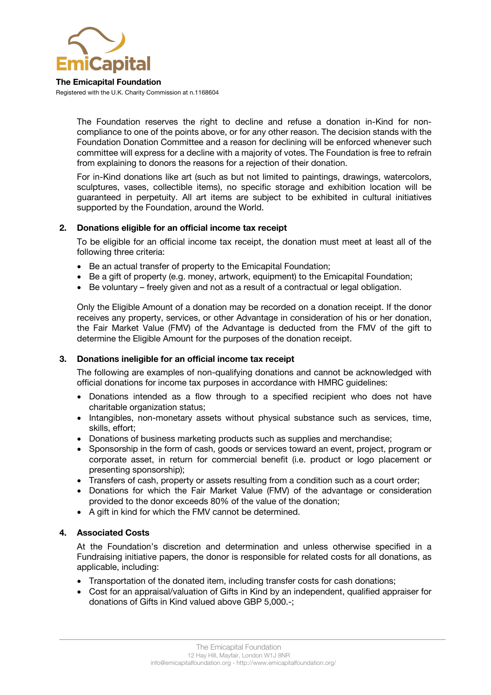

**The Emicapital Foundation** Registered with the U.K. Charity Commission at n.1168604

> The Foundation reserves the right to decline and refuse a donation in-Kind for noncompliance to one of the points above, or for any other reason. The decision stands with the Foundation Donation Committee and a reason for declining will be enforced whenever such committee will express for a decline with a majority of votes. The Foundation is free to refrain from explaining to donors the reasons for a rejection of their donation.

> For in-Kind donations like art (such as but not limited to paintings, drawings, watercolors, sculptures, vases, collectible items), no specific storage and exhibition location will be guaranteed in perpetuity. All art items are subject to be exhibited in cultural initiatives supported by the Foundation, around the World.

#### **2. Donations eligible for an official income tax receipt**

To be eligible for an official income tax receipt, the donation must meet at least all of the following three criteria:

- Be an actual transfer of property to the Emicapital Foundation;
- Be a gift of property (e.g. money, artwork, equipment) to the Emicapital Foundation;
- Be voluntary freely given and not as a result of a contractual or legal obligation.

Only the Eligible Amount of a donation may be recorded on a donation receipt. If the donor receives any property, services, or other Advantage in consideration of his or her donation, the Fair Market Value (FMV) of the Advantage is deducted from the FMV of the gift to determine the Eligible Amount for the purposes of the donation receipt.

#### **3. Donations ineligible for an official income tax receipt**

The following are examples of non-qualifying donations and cannot be acknowledged with official donations for income tax purposes in accordance with HMRC guidelines:

- Donations intended as a flow through to a specified recipient who does not have charitable organization status;
- Intangibles, non-monetary assets without physical substance such as services, time, skills, effort;
- Donations of business marketing products such as supplies and merchandise;
- Sponsorship in the form of cash, goods or services toward an event, project, program or corporate asset, in return for commercial benefit (i.e. product or logo placement or presenting sponsorship);
- Transfers of cash, property or assets resulting from a condition such as a court order;
- Donations for which the Fair Market Value (FMV) of the advantage or consideration provided to the donor exceeds 80% of the value of the donation;
- A gift in kind for which the FMV cannot be determined.

#### **4. Associated Costs**

At the Foundation's discretion and determination and unless otherwise specified in a Fundraising initiative papers, the donor is responsible for related costs for all donations, as applicable, including:

- Transportation of the donated item, including transfer costs for cash donations;
- Cost for an appraisal/valuation of Gifts in Kind by an independent, qualified appraiser for donations of Gifts in Kind valued above GBP 5,000.-;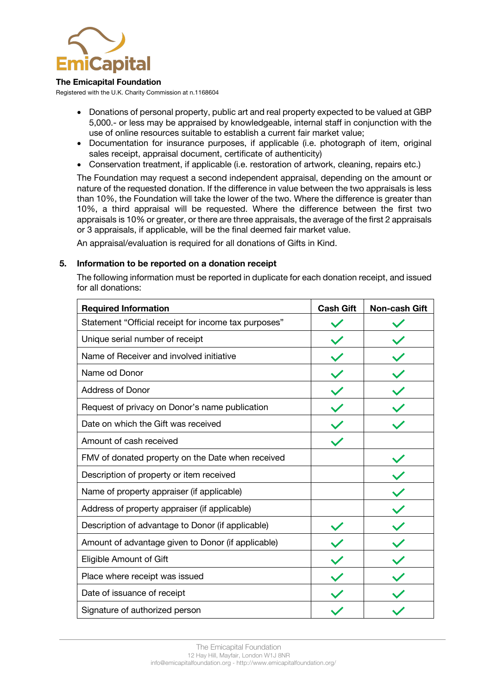

#### **The Emicapital Foundation**

Registered with the U.K. Charity Commission at n.1168604

- Donations of personal property, public art and real property expected to be valued at GBP 5,000.- or less may be appraised by knowledgeable, internal staff in conjunction with the use of online resources suitable to establish a current fair market value;
- Documentation for insurance purposes, if applicable (i.e. photograph of item, original sales receipt, appraisal document, certificate of authenticity)
- Conservation treatment, if applicable (i.e. restoration of artwork, cleaning, repairs etc.)

The Foundation may request a second independent appraisal, depending on the amount or nature of the requested donation. If the difference in value between the two appraisals is less than 10%, the Foundation will take the lower of the two. Where the difference is greater than 10%, a third appraisal will be requested. Where the difference between the first two appraisals is 10% or greater, or there are three appraisals, the average of the first 2 appraisals or 3 appraisals, if applicable, will be the final deemed fair market value.

An appraisal/evaluation is required for all donations of Gifts in Kind.

#### **5. Information to be reported on a donation receipt**

The following information must be reported in duplicate for each donation receipt, and issued for all donations:

| <b>Required Information</b>                          | <b>Cash Gift</b> | <b>Non-cash Gift</b> |
|------------------------------------------------------|------------------|----------------------|
| Statement "Official receipt for income tax purposes" |                  |                      |
| Unique serial number of receipt                      |                  |                      |
| Name of Receiver and involved initiative             |                  |                      |
| Name od Donor                                        |                  |                      |
| <b>Address of Donor</b>                              |                  |                      |
| Request of privacy on Donor's name publication       |                  |                      |
| Date on which the Gift was received                  |                  |                      |
| Amount of cash received                              |                  |                      |
| FMV of donated property on the Date when received    |                  |                      |
| Description of property or item received             |                  |                      |
| Name of property appraiser (if applicable)           |                  |                      |
| Address of property appraiser (if applicable)        |                  |                      |
| Description of advantage to Donor (if applicable)    |                  |                      |
| Amount of advantage given to Donor (if applicable)   |                  |                      |
| Eligible Amount of Gift                              |                  |                      |
| Place where receipt was issued                       |                  |                      |
| Date of issuance of receipt                          |                  |                      |
| Signature of authorized person                       |                  |                      |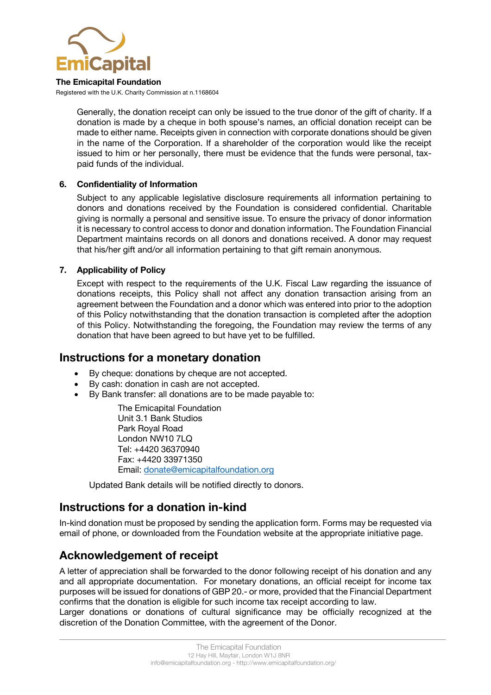

#### **The Emicapital Foundation**

Registered with the U.K. Charity Commission at n.1168604

Generally, the donation receipt can only be issued to the true donor of the gift of charity. If a donation is made by a cheque in both spouse's names, an official donation receipt can be made to either name. Receipts given in connection with corporate donations should be given in the name of the Corporation. If a shareholder of the corporation would like the receipt issued to him or her personally, there must be evidence that the funds were personal, taxpaid funds of the individual.

#### **6. Confidentiality of Information**

Subject to any applicable legislative disclosure requirements all information pertaining to donors and donations received by the Foundation is considered confidential. Charitable giving is normally a personal and sensitive issue. To ensure the privacy of donor information it is necessary to control access to donor and donation information. The Foundation Financial Department maintains records on all donors and donations received. A donor may request that his/her gift and/or all information pertaining to that gift remain anonymous.

#### **7. Applicability of Policy**

Except with respect to the requirements of the U.K. Fiscal Law regarding the issuance of donations receipts, this Policy shall not affect any donation transaction arising from an agreement between the Foundation and a donor which was entered into prior to the adoption of this Policy notwithstanding that the donation transaction is completed after the adoption of this Policy. Notwithstanding the foregoing, the Foundation may review the terms of any donation that have been agreed to but have yet to be fulfilled.

#### **Instructions for a monetary donation**

- By cheque: donations by cheque are not accepted.
- By cash: donation in cash are not accepted.
- By Bank transfer: all donations are to be made payable to:

The Emicapital Foundation Unit 3.1 Bank Studios Park Royal Road London NW10 7LQ Tel: +4420 36370940 Fax: +4420 33971350 Email: donate@emicapitalfoundation.org

Updated Bank details will be notified directly to donors.

### **Instructions for a donation in-kind**

In-kind donation must be proposed by sending the application form. Forms may be requested via email of phone, or downloaded from the Foundation website at the appropriate initiative page.

### **Acknowledgement of receipt**

A letter of appreciation shall be forwarded to the donor following receipt of his donation and any and all appropriate documentation. For monetary donations, an official receipt for income tax purposes will be issued for donations of GBP 20.- or more, provided that the Financial Department confirms that the donation is eligible for such income tax receipt according to law.

Larger donations or donations of cultural significance may be officially recognized at the discretion of the Donation Committee, with the agreement of the Donor.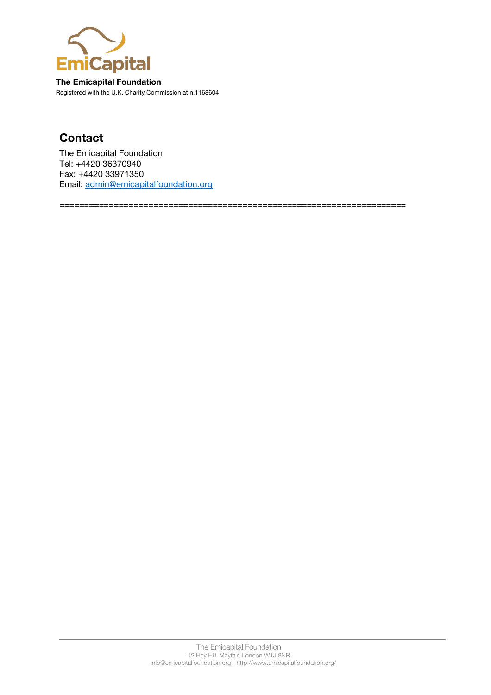

**The Emicapital Foundation** Registered with the U.K. Charity Commission at n.1168604

## **Contact**

The Emicapital Foundation Tel: +4420 36370940 Fax: +4420 33971350 Email: admin@emicapitalfoundation.org

======================================================================